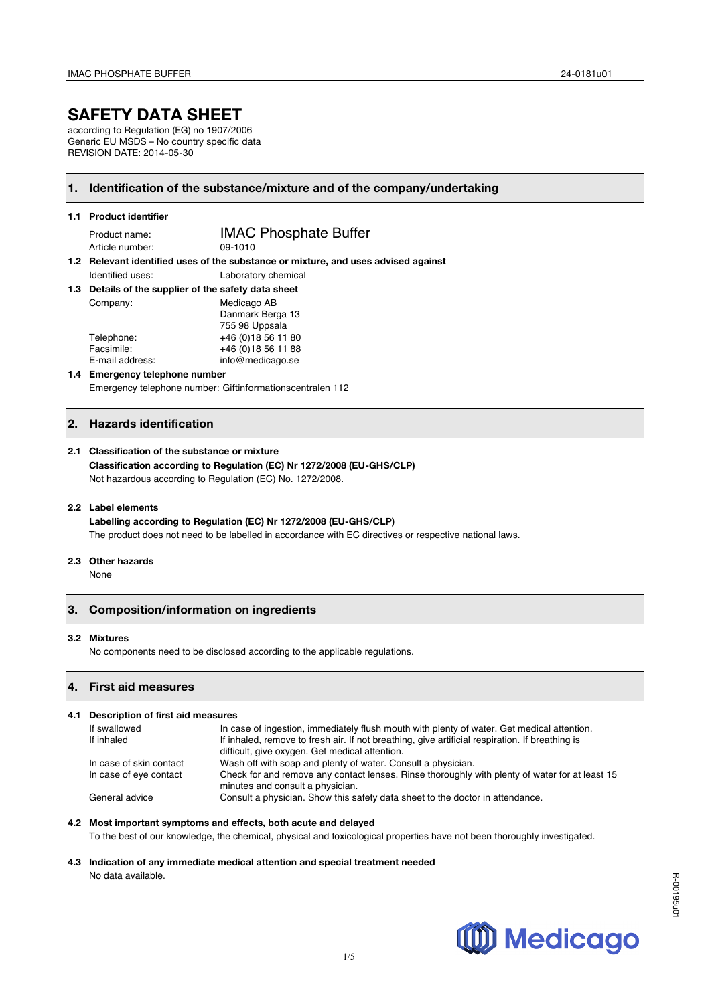# **SAFETY DATA SHEET**

according to Regulation (EG) no 1907/2006 Generic EU MSDS – No country specific data REVISION DATE: 2014-05-30

### **1. Identification of the substance/mixture and of the company/undertaking**

#### **1.1 Product identifier**

Article number:

Product name:<br>Article number: 09-1010<br>09-1010

**1.2 Relevant identified uses of the substance or mixture, and uses advised against**  Identified uses: Laboratory chemical

**1.3 Details of the supplier of the safety data sheet**

| Company:        | Medicago AB         |  |
|-----------------|---------------------|--|
|                 | Danmark Berga 13    |  |
|                 | 755 98 Uppsala      |  |
| Telephone:      | +46 (0) 18 56 11 80 |  |
| Facsimile:      | +46 (0) 18 56 11 88 |  |
| E-mail address: | info@medicago.se    |  |
|                 |                     |  |

## **1.4 Emergency telephone number**

Emergency telephone number: Giftinformationscentralen 112

## **2. Hazards identification**

#### **2.1 Classification of the substance or mixture**

**Classification according to Regulation (EC) Nr 1272/2008 (EU-GHS/CLP)** Not hazardous according to Regulation (EC) No. 1272/2008.

#### **2.2 Label elements**

**Labelling according to Regulation (EC) Nr 1272/2008 (EU-GHS/CLP)** The product does not need to be labelled in accordance with EC directives or respective national laws.

#### **2.3 Other hazards**

**None** 

## **3. Composition/information on ingredients**

#### **3.2 Mixtures**

No components need to be disclosed according to the applicable regulations.

## **4. First aid measures**

#### **4.1 Description of first aid measures**  If swallowed In case of ingestion, immediately flush mouth with plenty of water. Get medical attention.<br>If inhaled inhaled remove to fresh air. If not breathing give artificial respiration. If breathing is If inhaled, remove to fresh air. If not breathing, give artificial respiration. If breathing is difficult, give oxygen. Get medical attention. In case of skin contact Wash off with soap and plenty of water. Consult a physician. In case of eye contact Check for and remove any contact lenses. Rinse thoroughly with plenty of water for at least 15 minutes and consult a physician. General advice Consult a physician. Show this safety data sheet to the doctor in attendance.

#### **4.2 Most important symptoms and effects, both acute and delayed**

To the best of our knowledge, the chemical, physical and toxicological properties have not been thoroughly investigated.

### **4.3 Indication of any immediate medical attention and special treatment needed** No data available.

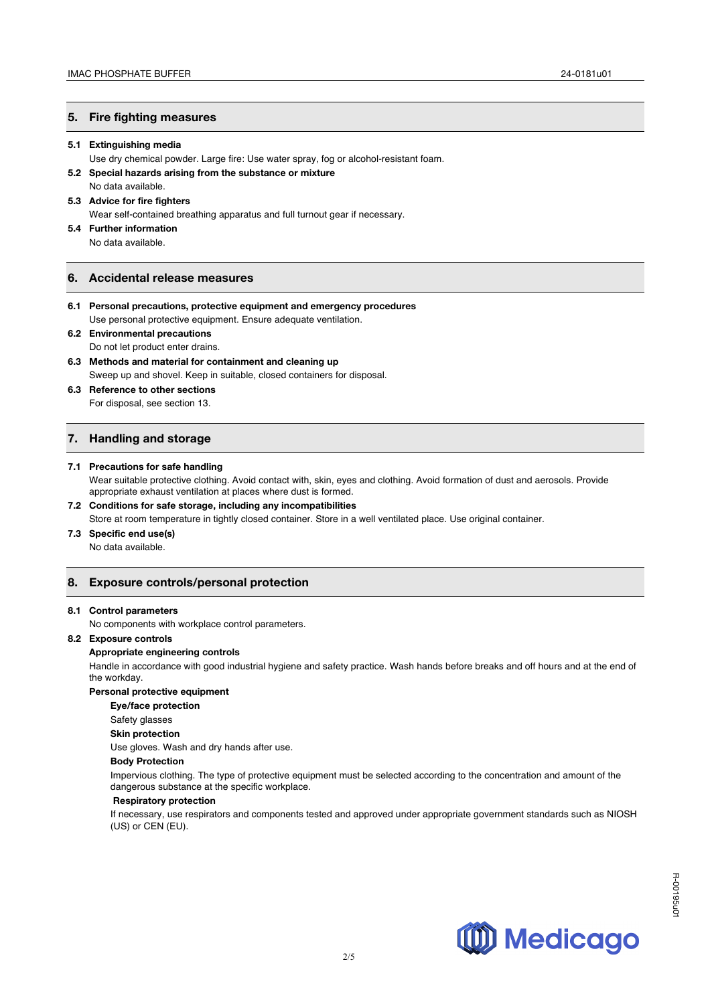#### **5. Fire fighting measures**

#### **5.1 Extinguishing media**

- Use dry chemical powder. Large fire: Use water spray, fog or alcohol-resistant foam.
- **5.2 Special hazards arising from the substance or mixture**  No data available.
- **5.3 Advice for fire fighters**

Wear self-contained breathing apparatus and full turnout gear if necessary.

**5.4 Further information** No data available.

#### **6. Accidental release measures**

- **6.1 Personal precautions, protective equipment and emergency procedures** Use personal protective equipment. Ensure adequate ventilation.
- **6.2 Environmental precautions**  Do not let product enter drains.
- **6.3 Methods and material for containment and cleaning up**  Sweep up and shovel. Keep in suitable, closed containers for disposal.
- **6.3 Reference to other sections**  For disposal, see section 13.

## **7. Handling and storage**

#### **7.1 Precautions for safe handling**

Wear suitable protective clothing. Avoid contact with, skin, eyes and clothing. Avoid formation of dust and aerosols. Provide appropriate exhaust ventilation at places where dust is formed.

- **7.2 Conditions for safe storage, including any incompatibilities**
- Store at room temperature in tightly closed container. Store in a well ventilated place. Use original container.
- **7.3 Specific end use(s)**

No data available.

## **8. Exposure controls/personal protection**

#### **8.1 Control parameters**

No components with workplace control parameters.

#### **8.2 Exposure controls**

#### **Appropriate engineering controls**

Handle in accordance with good industrial hygiene and safety practice. Wash hands before breaks and off hours and at the end of the workday.

#### **Personal protective equipment**

**Eye/face protection**

Safety glasses

#### **Skin protection**

Use gloves. Wash and dry hands after use.

#### **Body Protection**

Impervious clothing. The type of protective equipment must be selected according to the concentration and amount of the dangerous substance at the specific workplace.

#### **Respiratory protection**

If necessary, use respirators and components tested and approved under appropriate government standards such as NIOSH (US) or CEN (EU).

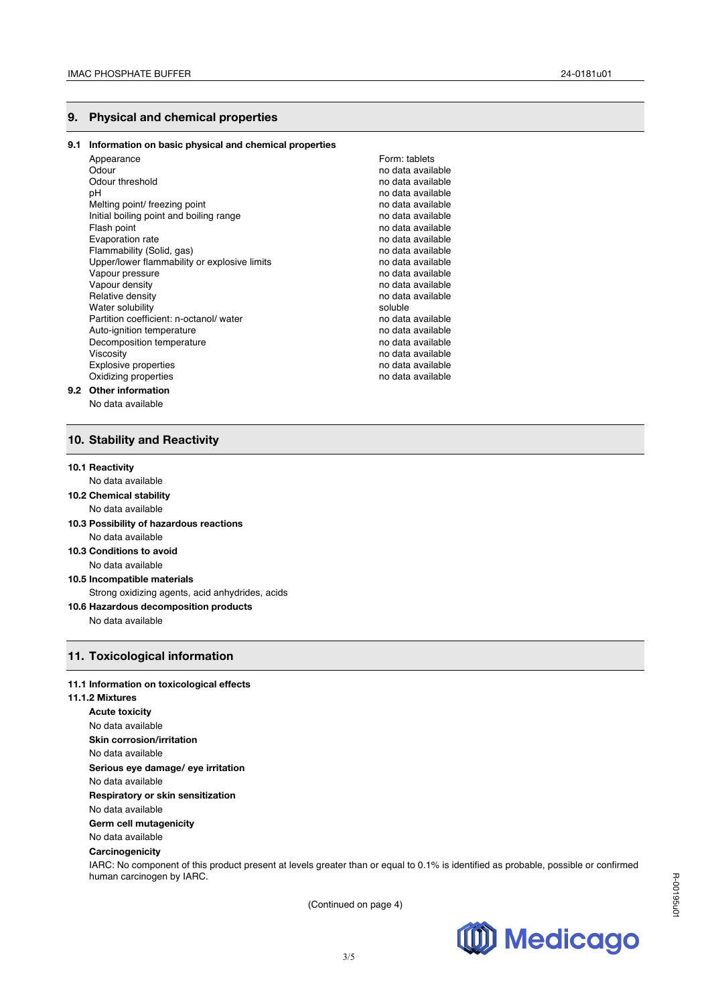## **9. Physical and chemical properties**

| 9.1 | Information on basic physical and chemical properties |                   |
|-----|-------------------------------------------------------|-------------------|
|     | Appearance                                            | Form: tablets     |
|     | Odour                                                 | no data available |
|     | Odour threshold                                       | no data available |
|     | рH                                                    | no data available |
|     | Melting point/ freezing point                         | no data available |
|     | Initial boiling point and boiling range               | no data available |
|     | Flash point                                           | no data available |
|     | Evaporation rate                                      | no data available |
|     | Flammability (Solid, gas)                             | no data available |
|     | Upper/lower flammability or explosive limits          | no data available |
|     | Vapour pressure                                       | no data available |
|     | Vapour density                                        | no data available |
|     | Relative density                                      | no data available |
|     | Water solubility                                      | soluble           |
|     | Partition coefficient: n-octanol/water                | no data available |
|     | Auto-ignition temperature                             | no data available |
|     | Decomposition temperature                             | no data available |
|     | Viscosity                                             | no data available |
|     | <b>Explosive properties</b>                           | no data available |
|     | Oxidizing properties                                  | no data available |
|     | 9.2 Other information                                 |                   |
|     | No data available                                     |                   |

## **10. Stability and Reactivity**

#### **10.1 Reactivity**

- No data available **10.2 Chemical stability**  No data available **10.3 Possibility of hazardous reactions**  No data available
- **10.3 Conditions to avoid**  No data available
- **10.5 Incompatible materials**  Strong oxidizing agents, acid anhydrides, acids
- **10.6 Hazardous decomposition products**

No data available

## **11. Toxicological information**

## **11.1 Information on toxicological effects**

#### **11.1.2 Mixtures**

**Acute toxicity** No data available **Skin corrosion/irritation** No data available **Serious eye damage/ eye irritation** No data available **Respiratory or skin sensitization** No data available **Germ cell mutagenicity** No data available **Carcinogenicity** IARC: No component of this product present at levels greater than or equal to 0.1% is identified as probable, possible or confirmed human carcinogen by IARC.

(Continued on page 4)

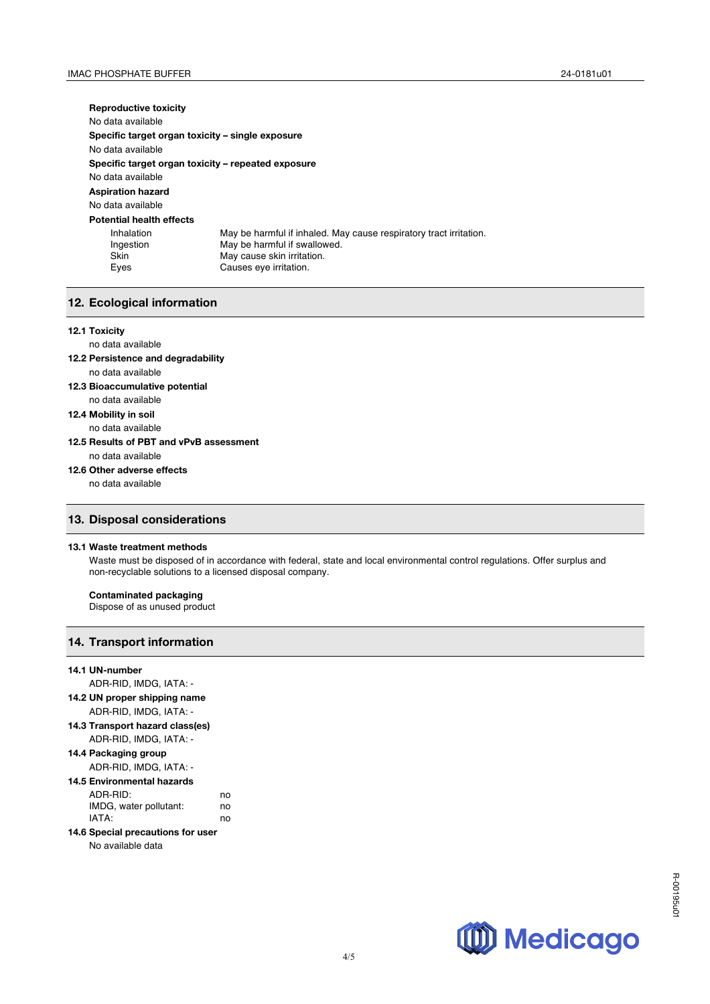**Reproductive toxicity** No data available **Specific target organ toxicity – single exposure** No data available **Specific target organ toxicity – repeated exposure** No data available **Aspiration hazard** No data available **Potential health effects**  Inhalation May be harmful if inhaled. May cause respiratory tract irritation.<br>Ingestion May be harmful if swallowed. May be harmful if swallowed. Skin May cause skin irritation.<br>
Eyes Causes eye irritation. Causes eye irritation.

## **12. Ecological information**

#### **12.1 Toxicity**

### no data available

- **12.2 Persistence and degradability** no data available
- **12.3 Bioaccumulative potential** no data available
- **12.4 Mobility in soil**
	- no data available

#### **12.5 Results of PBT and vPvB assessment** no data available

#### **12.6 Other adverse effects**

no data available

## **13. Disposal considerations**

#### **13.1 Waste treatment methods**

Waste must be disposed of in accordance with federal, state and local environmental control regulations. Offer surplus and non-recyclable solutions to a licensed disposal company.

#### **Contaminated packaging**

Dispose of as unused product

## **14. Transport information**

# **14.1 UN-number** ADR-RID, IMDG, IATA: -

- **14.2 UN proper shipping name** ADR-RID, IMDG, IATA: -
- **14.3 Transport hazard class(es)** ADR-RID, IMDG, IATA: -

## **14.4 Packaging group**

ADR-RID, IMDG, IATA: -

# **14.5 Environmental hazards**

| ADR-RID:               | no |
|------------------------|----|
| IMDG, water pollutant: | no |
| IATA:                  | no |

# **14.6 Special precautions for user**

#### No available data